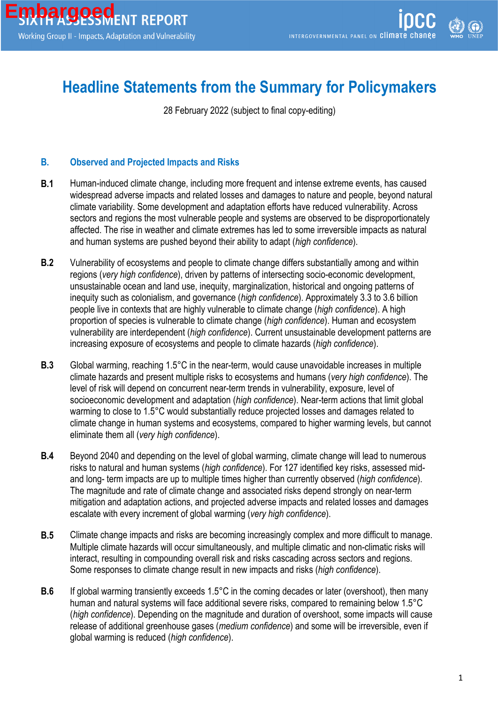## **Headline Statements from the Summary for Policymakers**

28 February 2022 (subject to final copy-editing)

## **B. Observed and Projected Impacts and Risks**

- **B.1** Human-induced climate change, including more frequent and intense extreme events, has caused widespread adverse impacts and related losses and damages to nature and people, beyond natural climate variability. Some development and adaptation efforts have reduced vulnerability. Across sectors and regions the most vulnerable people and systems are observed to be disproportionately affected. The rise in weather and climate extremes has led to some irreversible impacts as natural and human systems are pushed beyond their ability to adapt (*high confidence*).
- **B.2** Vulnerability of ecosystems and people to climate change differs substantially among and within regions (*very high confidence*), driven by patterns of intersecting socio-economic development, unsustainable ocean and land use, inequity, marginalization, historical and ongoing patterns of inequity such as colonialism, and governance (*high confidence*). Approximately 3.3 to 3.6 billion people live in contexts that are highly vulnerable to climate change (*high confidence*). A high proportion of species is vulnerable to climate change (*high confidence*). Human and ecosystem vulnerability are interdependent (*high confidence*). Current unsustainable development patterns are increasing exposure of ecosystems and people to climate hazards (*high confidence*).
- **B.3** Global warming, reaching 1.5°C in the near-term, would cause unavoidable increases in multiple climate hazards and present multiple risks to ecosystems and humans (*very high confidence*). The level of risk will depend on concurrent near-term trends in vulnerability, exposure, level of socioeconomic development and adaptation (*high confidence*). Near-term actions that limit global warming to close to 1.5°C would substantially reduce projected losses and damages related to climate change in human systems and ecosystems, compared to higher warming levels, but cannot eliminate them all (*very high confidence*).
- **B.4** Beyond 2040 and depending on the level of global warming, climate change will lead to numerous risks to natural and human systems (*high confidence*). For 127 identified key risks, assessed midand long- term impacts are up to multiple times higher than currently observed (*high confidence*). The magnitude and rate of climate change and associated risks depend strongly on near-term mitigation and adaptation actions, and projected adverse impacts and related losses and damages escalate with every increment of global warming (*very high confidence*).
- **B.5** Climate change impacts and risks are becoming increasingly complex and more difficult to manage. Multiple climate hazards will occur simultaneously, and multiple climatic and non-climatic risks will interact, resulting in compounding overall risk and risks cascading across sectors and regions. Some responses to climate change result in new impacts and risks (*high confidence*).
- **B.6** If global warming transiently exceeds 1.5°C in the coming decades or later (overshoot), then many human and natural systems will face additional severe risks, compared to remaining below 1.5°C (*high confidence*). Depending on the magnitude and duration of overshoot, some impacts will cause release of additional greenhouse gases (*medium confidence*) and some will be irreversible, even if global warming is reduced (*high confidence*).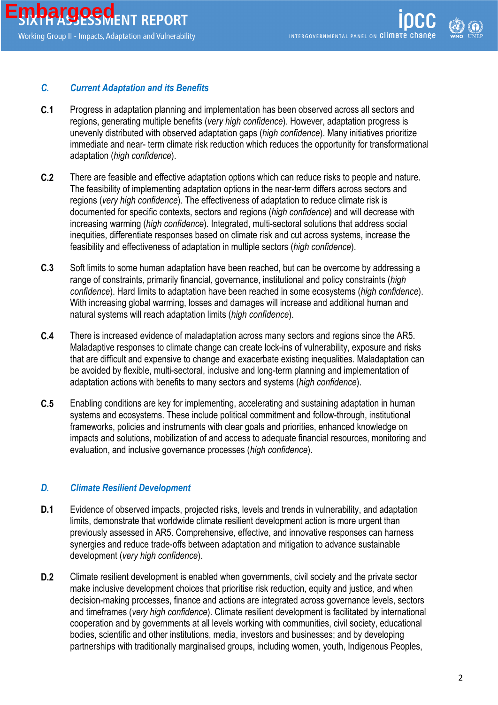## *C. Current Adaptation and its Benefits*

- **C.1** Progress in adaptation planning and implementation has been observed across all sectors and regions, generating multiple benefits (*very high confidence*). However, adaptation progress is unevenly distributed with observed adaptation gaps (*high confidence*). Many initiatives prioritize immediate and near- term climate risk reduction which reduces the opportunity for transformational adaptation (*high confidence*).
- **C.2** There are feasible and effective adaptation options which can reduce risks to people and nature. The feasibility of implementing adaptation options in the near-term differs across sectors and regions (*very high confidence*). The effectiveness of adaptation to reduce climate risk is documented for specific contexts, sectors and regions (*high confidence*) and will decrease with increasing warming (*high confidence*). Integrated, multi-sectoral solutions that address social inequities, differentiate responses based on climate risk and cut across systems, increase the feasibility and effectiveness of adaptation in multiple sectors (*high confidence*).
- **C.3** Soft limits to some human adaptation have been reached, but can be overcome by addressing a range of constraints, primarily financial, governance, institutional and policy constraints (*high confidence*). Hard limits to adaptation have been reached in some ecosystems (*high confidence*). With increasing global warming, losses and damages will increase and additional human and natural systems will reach adaptation limits (*high confidence*).
- **C.4** There is increased evidence of maladaptation across many sectors and regions since the AR5. Maladaptive responses to climate change can create lock-ins of vulnerability, exposure and risks that are difficult and expensive to change and exacerbate existing inequalities. Maladaptation can be avoided by flexible, multi-sectoral, inclusive and long-term planning and implementation of adaptation actions with benefits to many sectors and systems (*high confidence*).
- **C.5** Enabling conditions are key for implementing, accelerating and sustaining adaptation in human systems and ecosystems. These include political commitment and follow-through, institutional frameworks, policies and instruments with clear goals and priorities, enhanced knowledge on impacts and solutions, mobilization of and access to adequate financial resources, monitoring and evaluation, and inclusive governance processes (*high confidence*).

## *D. Climate Resilient Development*

- **D.1** Evidence of observed impacts, projected risks, levels and trends in vulnerability, and adaptation limits, demonstrate that worldwide climate resilient development action is more urgent than previously assessed in AR5. Comprehensive, effective, and innovative responses can harness synergies and reduce trade-offs between adaptation and mitigation to advance sustainable development (*very high confidence*).
- **D.2** Climate resilient development is enabled when governments, civil society and the private sector make inclusive development choices that prioritise risk reduction, equity and justice, and when decision-making processes, finance and actions are integrated across governance levels, sectors and timeframes (*very high confidence*). Climate resilient development is facilitated by international cooperation and by governments at all levels working with communities, civil society, educational bodies, scientific and other institutions, media, investors and businesses; and by developing partnerships with traditionally marginalised groups, including women, youth, Indigenous Peoples,